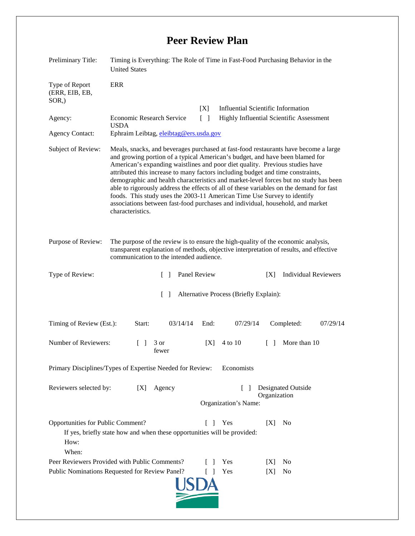## **Peer Review Plan**

| Preliminary Title:                                                                                                                                                            | Timing is Everything: The Role of Time in Fast-Food Purchasing Behavior in the<br><b>United States</b>                                                                                                                                                                                                                                                                                                                                                                                                                                                                                                                                                                                                     |  |
|-------------------------------------------------------------------------------------------------------------------------------------------------------------------------------|------------------------------------------------------------------------------------------------------------------------------------------------------------------------------------------------------------------------------------------------------------------------------------------------------------------------------------------------------------------------------------------------------------------------------------------------------------------------------------------------------------------------------------------------------------------------------------------------------------------------------------------------------------------------------------------------------------|--|
| Type of Report<br>(ERR, EIB, EB,<br>$SOR$ <sub>,</sub> )                                                                                                                      | <b>ERR</b>                                                                                                                                                                                                                                                                                                                                                                                                                                                                                                                                                                                                                                                                                                 |  |
|                                                                                                                                                                               | [X]<br><b>Influential Scientific Information</b>                                                                                                                                                                                                                                                                                                                                                                                                                                                                                                                                                                                                                                                           |  |
| Agency:                                                                                                                                                                       | <b>Economic Research Service</b><br>$\lceil \; \rceil$<br>Highly Influential Scientific Assessment<br><b>USDA</b>                                                                                                                                                                                                                                                                                                                                                                                                                                                                                                                                                                                          |  |
| <b>Agency Contact:</b>                                                                                                                                                        | Ephraim Leibtag, eleibtag@ers.usda.gov                                                                                                                                                                                                                                                                                                                                                                                                                                                                                                                                                                                                                                                                     |  |
| Subject of Review:                                                                                                                                                            | Meals, snacks, and beverages purchased at fast-food restaurants have become a large<br>and growing portion of a typical American's budget, and have been blamed for<br>American's expanding waistlines and poor diet quality. Previous studies have<br>attributed this increase to many factors including budget and time constraints,<br>demographic and health characteristics and market-level forces but no study has been<br>able to rigorously address the effects of all of these variables on the demand for fast<br>foods. This study uses the 2003-11 American Time Use Survey to identify<br>associations between fast-food purchases and individual, household, and market<br>characteristics. |  |
| Purpose of Review:                                                                                                                                                            | The purpose of the review is to ensure the high-quality of the economic analysis,<br>transparent explanation of methods, objective interpretation of results, and effective<br>communication to the intended audience.                                                                                                                                                                                                                                                                                                                                                                                                                                                                                     |  |
| Type of Review:                                                                                                                                                               | Panel Review<br><b>Individual Reviewers</b><br>[X]<br>$\mathcal{L}$                                                                                                                                                                                                                                                                                                                                                                                                                                                                                                                                                                                                                                        |  |
| $\lceil \rceil$<br>Alternative Process (Briefly Explain):                                                                                                                     |                                                                                                                                                                                                                                                                                                                                                                                                                                                                                                                                                                                                                                                                                                            |  |
| Timing of Review (Est.):                                                                                                                                                      | Start:<br>03/14/14<br>End:<br>07/29/14<br>Completed:<br>07/29/14                                                                                                                                                                                                                                                                                                                                                                                                                                                                                                                                                                                                                                           |  |
| Number of Reviewers:                                                                                                                                                          | More than 10<br>4 to 10<br>3 or<br>[X]<br>$\Box$<br>$\Box$<br>fewer                                                                                                                                                                                                                                                                                                                                                                                                                                                                                                                                                                                                                                        |  |
| Primary Disciplines/Types of Expertise Needed for Review:<br>Economists                                                                                                       |                                                                                                                                                                                                                                                                                                                                                                                                                                                                                                                                                                                                                                                                                                            |  |
| Reviewers selected by:                                                                                                                                                        | Agency<br>Designated Outside<br>[X]<br>$\mathsf{L}$<br>Organization<br>Organization's Name:                                                                                                                                                                                                                                                                                                                                                                                                                                                                                                                                                                                                                |  |
| Opportunities for Public Comment?<br>Yes<br>[X]<br>No<br>$\mathbf{L}$<br>$\perp$<br>If yes, briefly state how and when these opportunities will be provided:<br>How:<br>When: |                                                                                                                                                                                                                                                                                                                                                                                                                                                                                                                                                                                                                                                                                                            |  |
|                                                                                                                                                                               | Peer Reviewers Provided with Public Comments?<br>Yes<br>No<br>IXI<br>$\blacksquare$                                                                                                                                                                                                                                                                                                                                                                                                                                                                                                                                                                                                                        |  |
|                                                                                                                                                                               | Public Nominations Requested for Review Panel?<br>Yes<br>[X]<br>N <sub>0</sub><br>$\Box$                                                                                                                                                                                                                                                                                                                                                                                                                                                                                                                                                                                                                   |  |
|                                                                                                                                                                               |                                                                                                                                                                                                                                                                                                                                                                                                                                                                                                                                                                                                                                                                                                            |  |